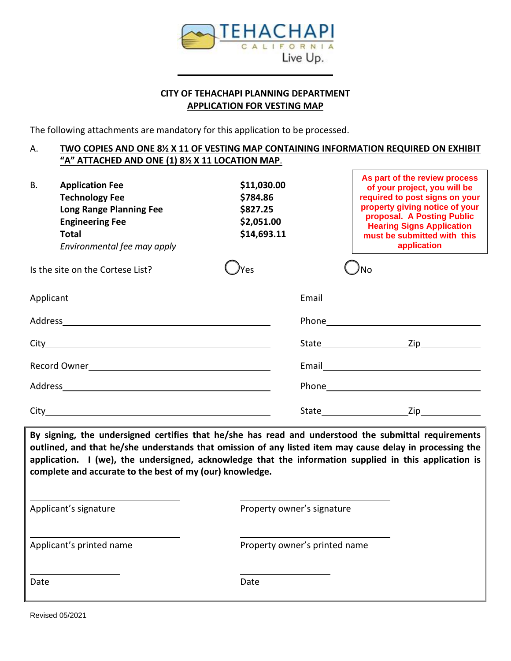

# **CITY OF TEHACHAPI PLANNING DEPARTMENT APPLICATION FOR VESTING MAP**

The following attachments are mandatory for this application to be processed.

## A. **TWO COPIES AND ONE 8½ X 11 OF VESTING MAP CONTAINING INFORMATION REQUIRED ON EXHIBIT "A" ATTACHED AND ONE (1) 8½ X 11 LOCATION MAP**.

| В.<br><b>Application Fee</b><br><b>Technology Fee</b><br>Long Range Planning Fee<br><b>Engineering Fee</b><br>Total<br>Environmental fee may apply | \$11,030.00<br>\$784.86<br>\$827.25<br>\$2,051.00<br>\$14,693.11 | As part of the review process<br>of your project, you will be<br>required to post signs on your<br>property giving notice of your<br>proposal. A Posting Public<br><b>Hearing Signs Application</b><br>must be submitted with this<br>application |
|----------------------------------------------------------------------------------------------------------------------------------------------------|------------------------------------------------------------------|---------------------------------------------------------------------------------------------------------------------------------------------------------------------------------------------------------------------------------------------------|
| Is the site on the Cortese List?                                                                                                                   | Yes                                                              | Nο                                                                                                                                                                                                                                                |
|                                                                                                                                                    |                                                                  |                                                                                                                                                                                                                                                   |
|                                                                                                                                                    |                                                                  |                                                                                                                                                                                                                                                   |
|                                                                                                                                                    |                                                                  |                                                                                                                                                                                                                                                   |
|                                                                                                                                                    |                                                                  |                                                                                                                                                                                                                                                   |
|                                                                                                                                                    |                                                                  |                                                                                                                                                                                                                                                   |
|                                                                                                                                                    |                                                                  | Zip and the second state of the second state of the second state of the second state of the second state of th<br>State and the state of the state of the state                                                                                   |

**By signing, the undersigned certifies that he/she has read and understood the submittal requirements outlined, and that he/she understands that omission of any listed item may cause delay in processing the application. I (we), the undersigned, acknowledge that the information supplied in this application is complete and accurate to the best of my (our) knowledge.**

| Applicant's signature    | Property owner's signature    |  |  |
|--------------------------|-------------------------------|--|--|
| Applicant's printed name | Property owner's printed name |  |  |
| Date                     | Date                          |  |  |

Revised 05/2021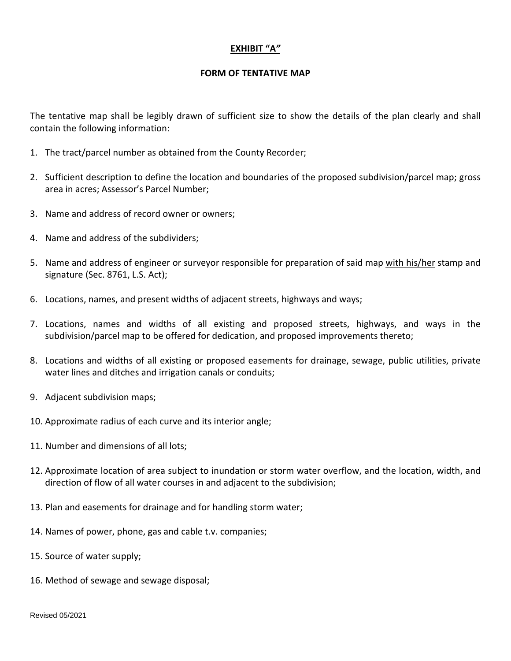## **EXHIBIT "A***"*

#### **FORM OF TENTATIVE MAP**

The tentative map shall be legibly drawn of sufficient size to show the details of the plan clearly and shall contain the following information:

- 1. The tract/parcel number as obtained from the County Recorder;
- 2. Sufficient description to define the location and boundaries of the proposed subdivision/parcel map; gross area in acres; Assessor's Parcel Number;
- 3. Name and address of record owner or owners;
- 4. Name and address of the subdividers;
- 5. Name and address of engineer or surveyor responsible for preparation of said map with his/her stamp and signature (Sec. 8761, L.S. Act);
- 6. Locations, names, and present widths of adjacent streets, highways and ways;
- 7. Locations, names and widths of all existing and proposed streets, highways, and ways in the subdivision/parcel map to be offered for dedication, and proposed improvements thereto;
- 8. Locations and widths of all existing or proposed easements for drainage, sewage, public utilities, private water lines and ditches and irrigation canals or conduits;
- 9. Adjacent subdivision maps;
- 10. Approximate radius of each curve and its interior angle;
- 11. Number and dimensions of all lots;
- 12. Approximate location of area subject to inundation or storm water overflow, and the location, width, and direction of flow of all water courses in and adjacent to the subdivision;
- 13. Plan and easements for drainage and for handling storm water;
- 14. Names of power, phone, gas and cable t.v. companies;
- 15. Source of water supply;
- 16. Method of sewage and sewage disposal;